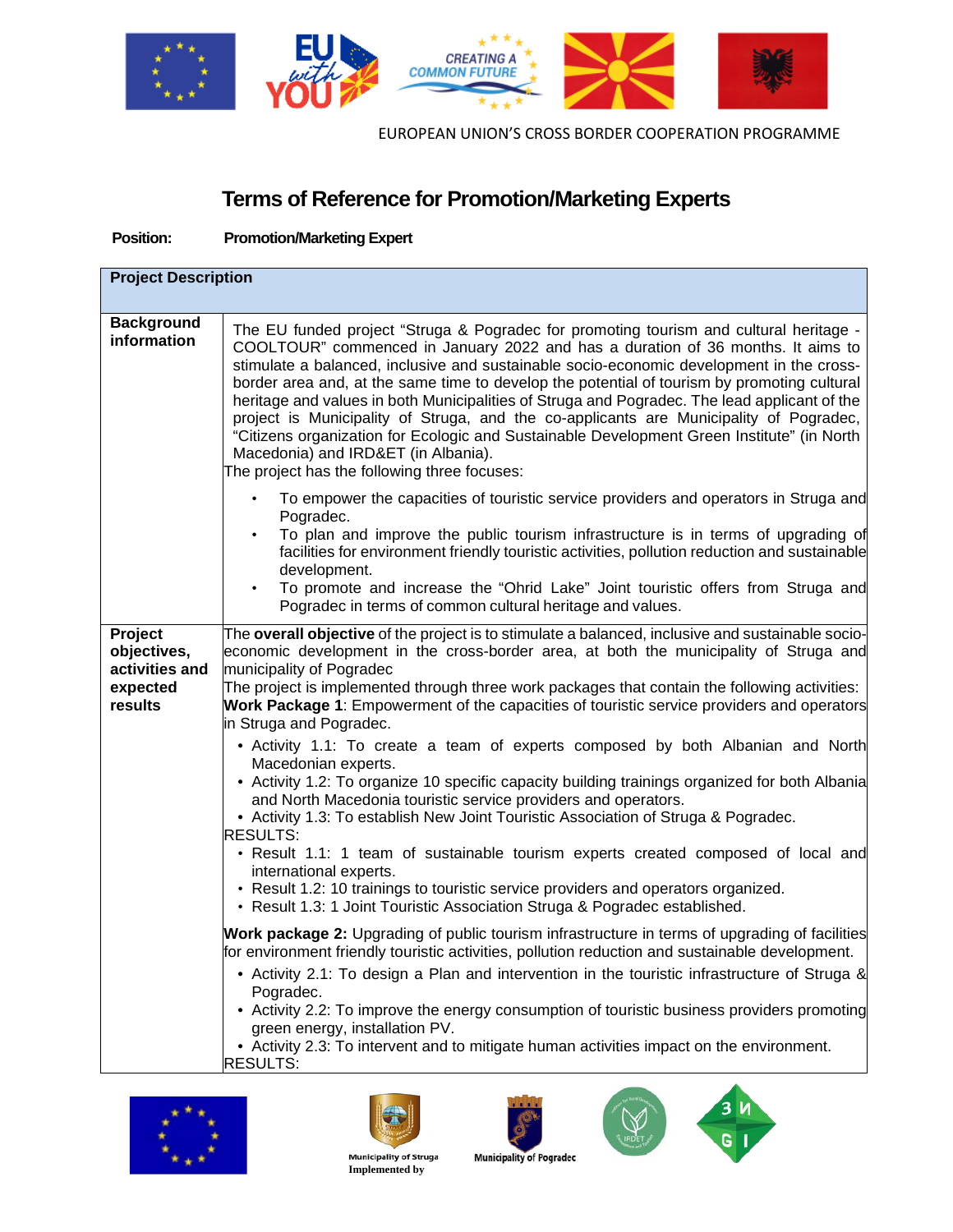

# **Terms of Reference for Promotion/Marketing Experts**

**Position: Promotion/Marketing Expert**

| <b>Project Description</b>                                      |                                                                                                                                                                                                                                                                                                                                                                                                                                                                                                                                                                                                                                                                                                                                                     |  |
|-----------------------------------------------------------------|-----------------------------------------------------------------------------------------------------------------------------------------------------------------------------------------------------------------------------------------------------------------------------------------------------------------------------------------------------------------------------------------------------------------------------------------------------------------------------------------------------------------------------------------------------------------------------------------------------------------------------------------------------------------------------------------------------------------------------------------------------|--|
| <b>Background</b><br>information                                | The EU funded project "Struga & Pogradec for promoting tourism and cultural heritage -<br>COOLTOUR" commenced in January 2022 and has a duration of 36 months. It aims to<br>stimulate a balanced, inclusive and sustainable socio-economic development in the cross-<br>border area and, at the same time to develop the potential of tourism by promoting cultural<br>heritage and values in both Municipalities of Struga and Pogradec. The lead applicant of the<br>project is Municipality of Struga, and the co-applicants are Municipality of Pogradec,<br>"Citizens organization for Ecologic and Sustainable Development Green Institute" (in North<br>Macedonia) and IRD&ET (in Albania).<br>The project has the following three focuses: |  |
|                                                                 | To empower the capacities of touristic service providers and operators in Struga and<br>Pogradec.<br>To plan and improve the public tourism infrastructure is in terms of upgrading of<br>facilities for environment friendly touristic activities, pollution reduction and sustainable<br>development.<br>To promote and increase the "Ohrid Lake" Joint touristic offers from Struga and<br>Pogradec in terms of common cultural heritage and values.                                                                                                                                                                                                                                                                                             |  |
| Project<br>objectives,<br>activities and<br>expected<br>results | The overall objective of the project is to stimulate a balanced, inclusive and sustainable socio-<br>economic development in the cross-border area, at both the municipality of Struga and<br>municipality of Pogradec<br>The project is implemented through three work packages that contain the following activities:<br>Work Package 1: Empowerment of the capacities of touristic service providers and operators<br>in Struga and Pogradec.                                                                                                                                                                                                                                                                                                    |  |
|                                                                 | • Activity 1.1: To create a team of experts composed by both Albanian and North<br>Macedonian experts.<br>• Activity 1.2: To organize 10 specific capacity building trainings organized for both Albania<br>and North Macedonia touristic service providers and operators.<br>• Activity 1.3: To establish New Joint Touristic Association of Struga & Pogradec.<br><b>RESULTS:</b><br>• Result 1.1: 1 team of sustainable tourism experts created composed of local and<br>international experts.<br>• Result 1.2: 10 trainings to touristic service providers and operators organized.<br>• Result 1.3: 1 Joint Touristic Association Struga & Pogradec established.                                                                              |  |
|                                                                 | <b>Work package 2:</b> Upgrading of public tourism infrastructure in terms of upgrading of facilities<br>for environment friendly touristic activities, pollution reduction and sustainable development.<br>• Activity 2.1: To design a Plan and intervention in the touristic infrastructure of Struga &<br>Pogradec.<br>• Activity 2.2: To improve the energy consumption of touristic business providers promoting<br>green energy, installation PV.<br>• Activity 2.3: To intervent and to mitigate human activities impact on the environment.<br><b>RESULTS:</b>                                                                                                                                                                              |  |









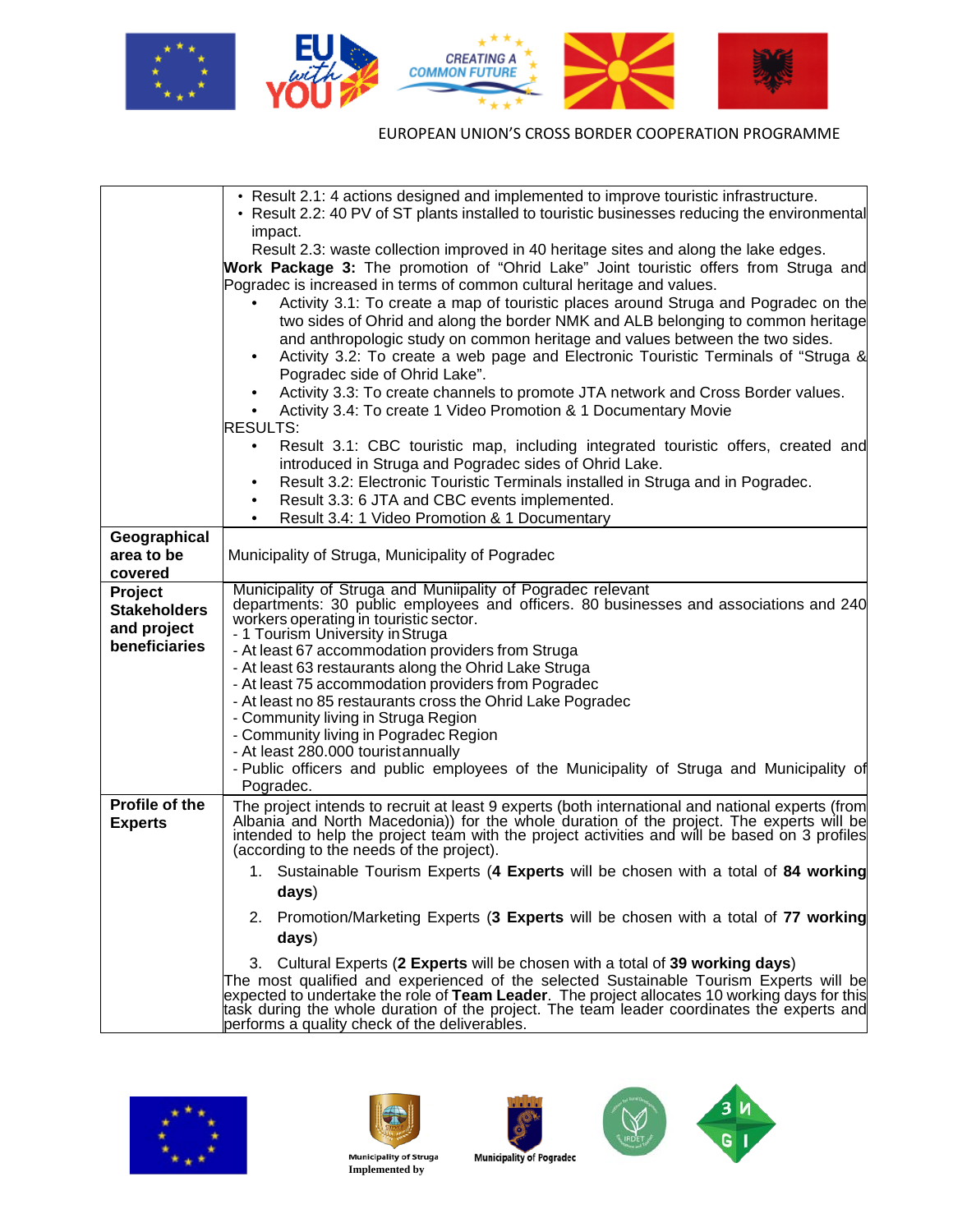

|                       | • Result 2.1: 4 actions designed and implemented to improve touristic infrastructure.<br>• Result 2.2: 40 PV of ST plants installed to touristic businesses reducing the environmental                                         |
|-----------------------|--------------------------------------------------------------------------------------------------------------------------------------------------------------------------------------------------------------------------------|
|                       | impact.                                                                                                                                                                                                                        |
|                       | Result 2.3: waste collection improved in 40 heritage sites and along the lake edges.                                                                                                                                           |
|                       | Work Package 3: The promotion of "Ohrid Lake" Joint touristic offers from Struga and                                                                                                                                           |
|                       | Pogradec is increased in terms of common cultural heritage and values.                                                                                                                                                         |
|                       | Activity 3.1: To create a map of touristic places around Struga and Pogradec on the                                                                                                                                            |
|                       | two sides of Ohrid and along the border NMK and ALB belonging to common heritage                                                                                                                                               |
|                       | and anthropologic study on common heritage and values between the two sides.                                                                                                                                                   |
|                       | Activity 3.2: To create a web page and Electronic Touristic Terminals of "Struga &                                                                                                                                             |
|                       | Pogradec side of Ohrid Lake".<br>Activity 3.3: To create channels to promote JTA network and Cross Border values.                                                                                                              |
|                       | Activity 3.4: To create 1 Video Promotion & 1 Documentary Movie                                                                                                                                                                |
|                       | <b>RESULTS:</b>                                                                                                                                                                                                                |
|                       | Result 3.1: CBC touristic map, including integrated touristic offers, created and                                                                                                                                              |
|                       | introduced in Struga and Pogradec sides of Ohrid Lake.                                                                                                                                                                         |
|                       | Result 3.2: Electronic Touristic Terminals installed in Struga and in Pogradec.                                                                                                                                                |
|                       | Result 3.3: 6 JTA and CBC events implemented.                                                                                                                                                                                  |
|                       | Result 3.4: 1 Video Promotion & 1 Documentary                                                                                                                                                                                  |
| Geographical          |                                                                                                                                                                                                                                |
| area to be<br>covered | Municipality of Struga, Municipality of Pogradec                                                                                                                                                                               |
| Project               | Municipality of Struga and Muniipality of Pogradec relevant                                                                                                                                                                    |
| <b>Stakeholders</b>   | departments: 30 public employees and officers. 80 businesses and associations and 240                                                                                                                                          |
| and project           | workers operating in touristic sector.                                                                                                                                                                                         |
| beneficiaries         | - 1 Tourism University in Struga<br>- At least 67 accommodation providers from Struga                                                                                                                                          |
|                       | - At least 63 restaurants along the Ohrid Lake Struga                                                                                                                                                                          |
|                       | - At least 75 accommodation providers from Pogradec                                                                                                                                                                            |
|                       | - At least no 85 restaurants cross the Ohrid Lake Pogradec                                                                                                                                                                     |
|                       | - Community living in Struga Region                                                                                                                                                                                            |
|                       | - Community living in Pogradec Region                                                                                                                                                                                          |
|                       | - At least 280.000 touristannually<br>- Public officers and public employees of the Municipality of Struga and Municipality of                                                                                                 |
|                       | Pogradec.                                                                                                                                                                                                                      |
| Profile of the        | The project intends to recruit at least 9 experts (both international and national experts (from                                                                                                                               |
| <b>Experts</b>        |                                                                                                                                                                                                                                |
|                       | Albania and North Macedonia)) for the whole duration of the project. The experts will be intended to help the project team with the project activities and will be based on 3 profiles (according to the needs of the project) |
|                       | 1. Sustainable Tourism Experts (4 Experts will be chosen with a total of 84 working                                                                                                                                            |
|                       | days)                                                                                                                                                                                                                          |
|                       | Promotion/Marketing Experts (3 Experts will be chosen with a total of 77 working<br>2.                                                                                                                                         |
|                       | days)                                                                                                                                                                                                                          |
|                       | 3. Cultural Experts (2 Experts will be chosen with a total of 39 working days)                                                                                                                                                 |
|                       | The most qualified and experienced of the selected Sustainable Tourism Experts will be                                                                                                                                         |
|                       | expected to undertake the role of Team Leader. The project allocates 10 working days for this<br>task during the whole duration of the project. The team leader coordinates the experts and                                    |
|                       | performs a quality check of the deliverables.                                                                                                                                                                                  |









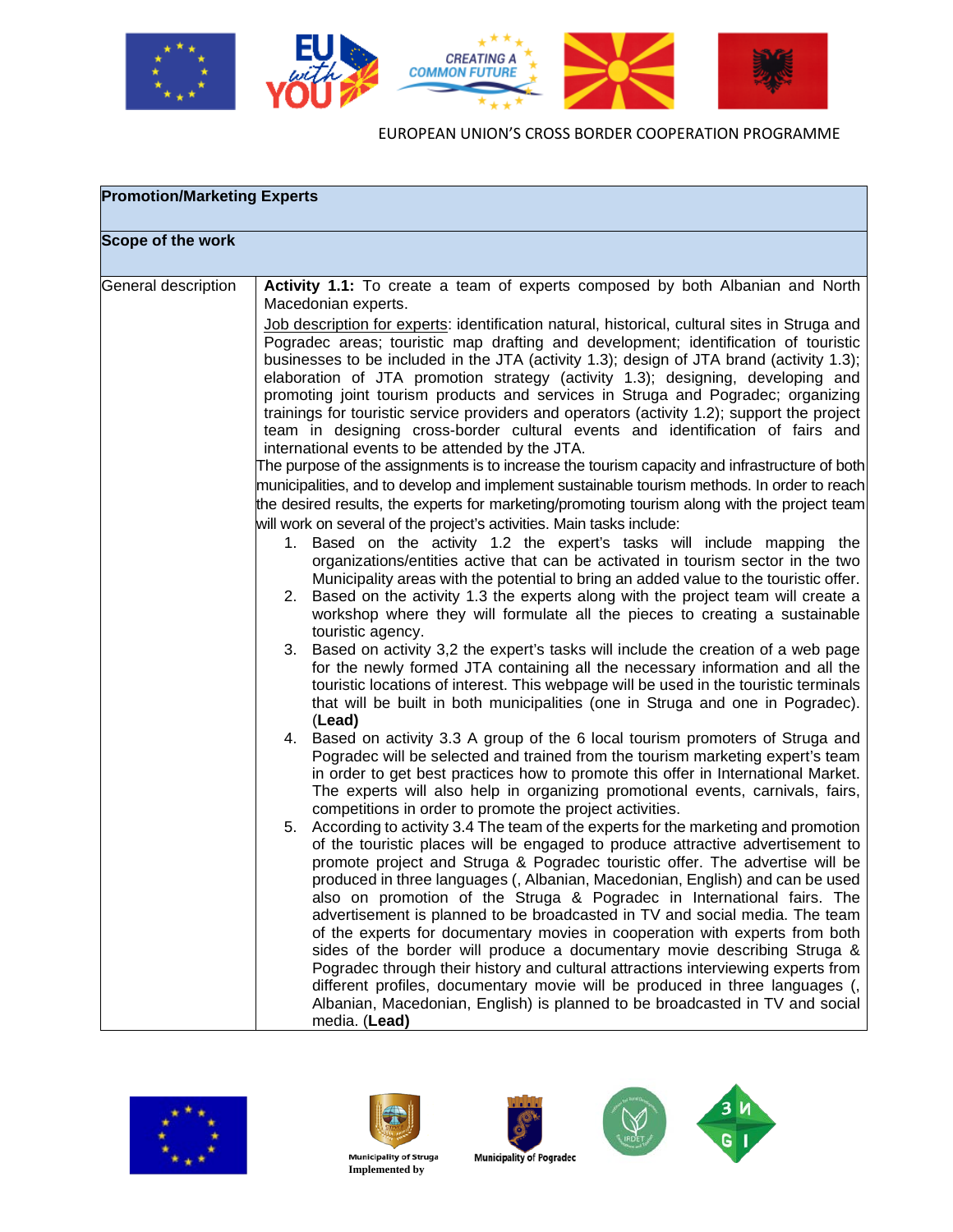

| <b>Promotion/Marketing Experts</b> |                                                                                                                                                                                                                                                                                                                                                                                                                                                                                                                                                                                                                                                                                                                                                                                                                                                                                                                                                                                                                                                                                                                                                                                                                                                                                                                                                                                                                                                                                                                                                                                                                                                                                                                                                                                                                                                                                                                                                                                                                                                                                                                                                                                                                                                                                                                                                                                                                                                                                                                                                                                                                                                                                                                                                                                                                                                                                                                                                                                                                                                                                                                                                                                                                                                                                                                                                    |  |
|------------------------------------|----------------------------------------------------------------------------------------------------------------------------------------------------------------------------------------------------------------------------------------------------------------------------------------------------------------------------------------------------------------------------------------------------------------------------------------------------------------------------------------------------------------------------------------------------------------------------------------------------------------------------------------------------------------------------------------------------------------------------------------------------------------------------------------------------------------------------------------------------------------------------------------------------------------------------------------------------------------------------------------------------------------------------------------------------------------------------------------------------------------------------------------------------------------------------------------------------------------------------------------------------------------------------------------------------------------------------------------------------------------------------------------------------------------------------------------------------------------------------------------------------------------------------------------------------------------------------------------------------------------------------------------------------------------------------------------------------------------------------------------------------------------------------------------------------------------------------------------------------------------------------------------------------------------------------------------------------------------------------------------------------------------------------------------------------------------------------------------------------------------------------------------------------------------------------------------------------------------------------------------------------------------------------------------------------------------------------------------------------------------------------------------------------------------------------------------------------------------------------------------------------------------------------------------------------------------------------------------------------------------------------------------------------------------------------------------------------------------------------------------------------------------------------------------------------------------------------------------------------------------------------------------------------------------------------------------------------------------------------------------------------------------------------------------------------------------------------------------------------------------------------------------------------------------------------------------------------------------------------------------------------------------------------------------------------------------------------------------------------|--|
| Scope of the work                  |                                                                                                                                                                                                                                                                                                                                                                                                                                                                                                                                                                                                                                                                                                                                                                                                                                                                                                                                                                                                                                                                                                                                                                                                                                                                                                                                                                                                                                                                                                                                                                                                                                                                                                                                                                                                                                                                                                                                                                                                                                                                                                                                                                                                                                                                                                                                                                                                                                                                                                                                                                                                                                                                                                                                                                                                                                                                                                                                                                                                                                                                                                                                                                                                                                                                                                                                                    |  |
| General description                | Activity 1.1: To create a team of experts composed by both Albanian and North<br>Macedonian experts.<br>Job description for experts: identification natural, historical, cultural sites in Struga and<br>Pogradec areas; touristic map drafting and development; identification of touristic<br>businesses to be included in the JTA (activity 1.3); design of JTA brand (activity 1.3);<br>elaboration of JTA promotion strategy (activity 1.3); designing, developing and<br>promoting joint tourism products and services in Struga and Pogradec; organizing<br>trainings for touristic service providers and operators (activity 1.2); support the project<br>team in designing cross-border cultural events and identification of fairs and<br>international events to be attended by the JTA.<br>The purpose of the assignments is to increase the tourism capacity and infrastructure of both<br>municipalities, and to develop and implement sustainable tourism methods. In order to reach<br>the desired results, the experts for marketing/promoting tourism along with the project team<br>will work on several of the project's activities. Main tasks include:<br>1. Based on the activity 1.2 the expert's tasks will include mapping the<br>organizations/entities active that can be activated in tourism sector in the two<br>Municipality areas with the potential to bring an added value to the touristic offer.<br>Based on the activity 1.3 the experts along with the project team will create a<br>2.<br>workshop where they will formulate all the pieces to creating a sustainable<br>touristic agency.<br>3. Based on activity 3,2 the expert's tasks will include the creation of a web page<br>for the newly formed JTA containing all the necessary information and all the<br>touristic locations of interest. This webpage will be used in the touristic terminals<br>that will be built in both municipalities (one in Struga and one in Pogradec).<br>(Lead)<br>Based on activity 3.3 A group of the 6 local tourism promoters of Struga and<br>4.<br>Pogradec will be selected and trained from the tourism marketing expert's team<br>in order to get best practices how to promote this offer in International Market.<br>The experts will also help in organizing promotional events, carnivals, fairs,<br>competitions in order to promote the project activities.<br>According to activity 3.4 The team of the experts for the marketing and promotion<br>5.<br>of the touristic places will be engaged to produce attractive advertisement to<br>promote project and Struga & Pogradec touristic offer. The advertise will be<br>produced in three languages (, Albanian, Macedonian, English) and can be used<br>also on promotion of the Struga & Pogradec in International fairs. The<br>advertisement is planned to be broadcasted in TV and social media. The team<br>of the experts for documentary movies in cooperation with experts from both<br>sides of the border will produce a documentary movie describing Struga &<br>Pogradec through their history and cultural attractions interviewing experts from<br>different profiles, documentary movie will be produced in three languages (,<br>Albanian, Macedonian, English) is planned to be broadcasted in TV and social<br>media. (Lead) |  |











 **Implemented by**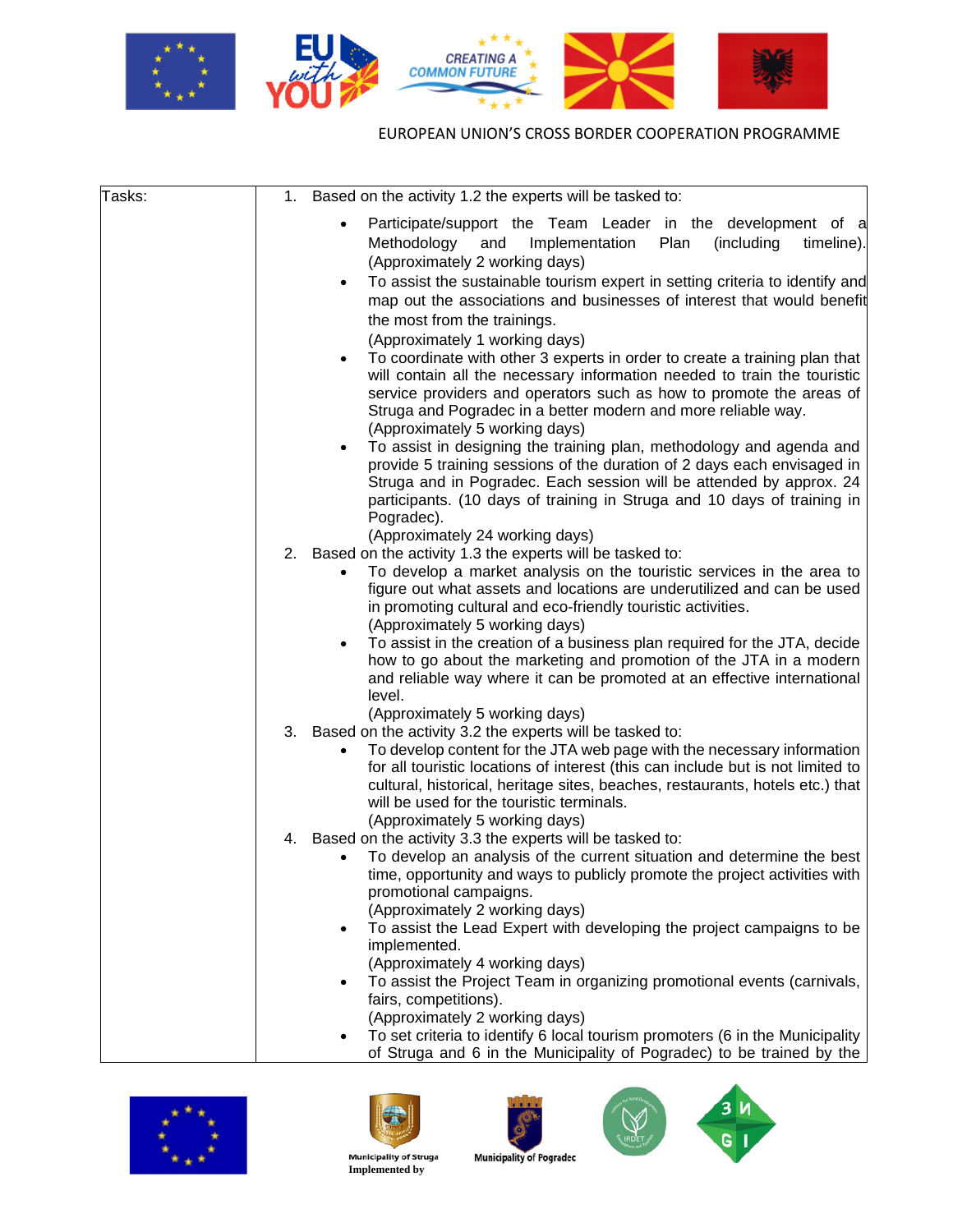

| Tasks: | Based on the activity 1.2 the experts will be tasked to:<br>1.                                                                                                                                                                                                                                                                                                                                                                                                                                                                                                                    |
|--------|-----------------------------------------------------------------------------------------------------------------------------------------------------------------------------------------------------------------------------------------------------------------------------------------------------------------------------------------------------------------------------------------------------------------------------------------------------------------------------------------------------------------------------------------------------------------------------------|
|        | Participate/support the Team Leader in the development of a<br>Plan<br>(including<br>Methodology<br>and<br>Implementation<br>timeline).<br>(Approximately 2 working days)<br>To assist the sustainable tourism expert in setting criteria to identify and<br>$\bullet$<br>map out the associations and businesses of interest that would benefit<br>the most from the trainings.<br>(Approximately 1 working days)<br>To coordinate with other 3 experts in order to create a training plan that<br>٠<br>will contain all the necessary information needed to train the touristic |
|        | service providers and operators such as how to promote the areas of<br>Struga and Pogradec in a better modern and more reliable way.<br>(Approximately 5 working days)<br>To assist in designing the training plan, methodology and agenda and<br>$\bullet$                                                                                                                                                                                                                                                                                                                       |
|        | provide 5 training sessions of the duration of 2 days each envisaged in<br>Struga and in Pogradec. Each session will be attended by approx. 24<br>participants. (10 days of training in Struga and 10 days of training in<br>Pogradec).                                                                                                                                                                                                                                                                                                                                           |
|        | (Approximately 24 working days)                                                                                                                                                                                                                                                                                                                                                                                                                                                                                                                                                   |
|        | 2. Based on the activity 1.3 the experts will be tasked to:<br>To develop a market analysis on the touristic services in the area to                                                                                                                                                                                                                                                                                                                                                                                                                                              |
|        | figure out what assets and locations are underutilized and can be used<br>in promoting cultural and eco-friendly touristic activities.<br>(Approximately 5 working days)                                                                                                                                                                                                                                                                                                                                                                                                          |
|        | To assist in the creation of a business plan required for the JTA, decide<br>$\bullet$<br>how to go about the marketing and promotion of the JTA in a modern<br>and reliable way where it can be promoted at an effective international<br>level.                                                                                                                                                                                                                                                                                                                                 |
|        | (Approximately 5 working days)                                                                                                                                                                                                                                                                                                                                                                                                                                                                                                                                                    |
|        | 3.<br>Based on the activity 3.2 the experts will be tasked to:<br>To develop content for the JTA web page with the necessary information<br>for all touristic locations of interest (this can include but is not limited to<br>cultural, historical, heritage sites, beaches, restaurants, hotels etc.) that<br>will be used for the touristic terminals.<br>(Approximately 5 working days)                                                                                                                                                                                       |
|        | Based on the activity 3.3 the experts will be tasked to:<br>4.                                                                                                                                                                                                                                                                                                                                                                                                                                                                                                                    |
|        | To develop an analysis of the current situation and determine the best<br>time, opportunity and ways to publicly promote the project activities with<br>promotional campaigns.<br>(Approximately 2 working days)                                                                                                                                                                                                                                                                                                                                                                  |
|        | To assist the Lead Expert with developing the project campaigns to be<br>$\bullet$                                                                                                                                                                                                                                                                                                                                                                                                                                                                                                |
|        | implemented.                                                                                                                                                                                                                                                                                                                                                                                                                                                                                                                                                                      |
|        | (Approximately 4 working days)                                                                                                                                                                                                                                                                                                                                                                                                                                                                                                                                                    |
|        | To assist the Project Team in organizing promotional events (carnivals,<br>$\bullet$                                                                                                                                                                                                                                                                                                                                                                                                                                                                                              |
|        | fairs, competitions).                                                                                                                                                                                                                                                                                                                                                                                                                                                                                                                                                             |
|        | (Approximately 2 working days)<br>To set criteria to identify 6 local tourism promoters (6 in the Municipality                                                                                                                                                                                                                                                                                                                                                                                                                                                                    |
|        | $\bullet$<br>of Struga and 6 in the Municipality of Pogradec) to be trained by the                                                                                                                                                                                                                                                                                                                                                                                                                                                                                                |











 **Implemented by** 

**Municipality of Pogradec**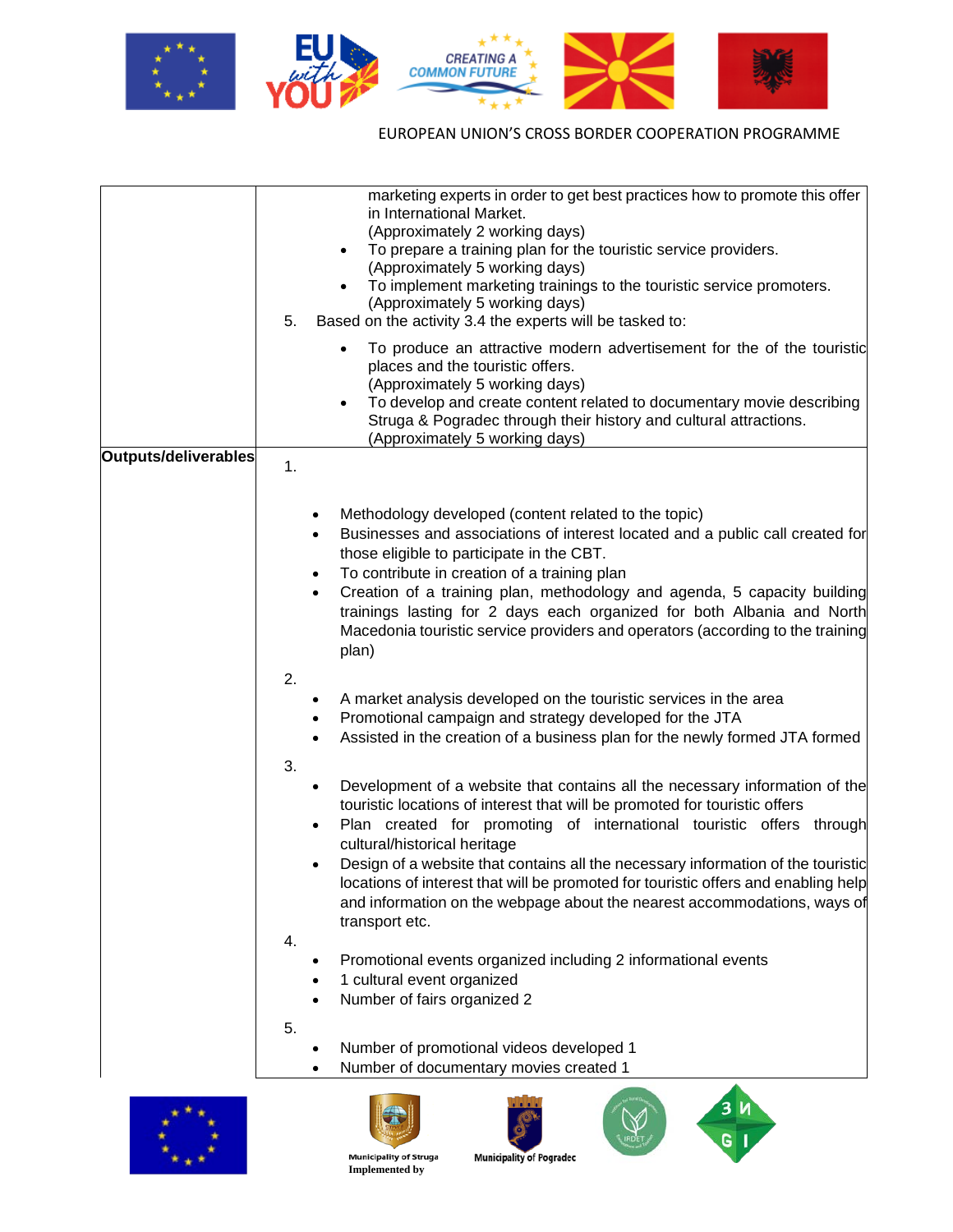

|                      | marketing experts in order to get best practices how to promote this offer<br>in International Market. |
|----------------------|--------------------------------------------------------------------------------------------------------|
|                      | (Approximately 2 working days)                                                                         |
|                      | To prepare a training plan for the touristic service providers.<br>$\bullet$                           |
|                      | (Approximately 5 working days)                                                                         |
|                      | To implement marketing trainings to the touristic service promoters.<br>$\bullet$                      |
|                      | (Approximately 5 working days)                                                                         |
|                      | 5.<br>Based on the activity 3.4 the experts will be tasked to:                                         |
|                      | To produce an attractive modern advertisement for the of the touristic                                 |
|                      | places and the touristic offers.                                                                       |
|                      | (Approximately 5 working days)                                                                         |
|                      | To develop and create content related to documentary movie describing                                  |
|                      | Struga & Pogradec through their history and cultural attractions.                                      |
|                      | (Approximately 5 working days)                                                                         |
| Outputs/deliverables | 1.                                                                                                     |
|                      |                                                                                                        |
|                      |                                                                                                        |
|                      | Methodology developed (content related to the topic)                                                   |
|                      | Businesses and associations of interest located and a public call created for<br>$\bullet$             |
|                      | those eligible to participate in the CBT.<br>To contribute in creation of a training plan              |
|                      | Creation of a training plan, methodology and agenda, 5 capacity building                               |
|                      | $\bullet$<br>trainings lasting for 2 days each organized for both Albania and North                    |
|                      | Macedonia touristic service providers and operators (according to the training                         |
|                      | plan)                                                                                                  |
|                      |                                                                                                        |
|                      | 2.                                                                                                     |
|                      | A market analysis developed on the touristic services in the area                                      |
|                      | Promotional campaign and strategy developed for the JTA<br>٠                                           |
|                      | Assisted in the creation of a business plan for the newly formed JTA formed                            |
|                      | 3.                                                                                                     |
|                      | Development of a website that contains all the necessary information of the                            |
|                      | touristic locations of interest that will be promoted for touristic offers                             |
|                      | Plan created for promoting of international touristic offers through                                   |
|                      | cultural/historical heritage                                                                           |
|                      | Design of a website that contains all the necessary information of the touristic                       |
|                      | locations of interest that will be promoted for touristic offers and enabling help                     |
|                      | and information on the webpage about the nearest accommodations, ways of                               |
|                      | transport etc.                                                                                         |
|                      | 4.                                                                                                     |
|                      | Promotional events organized including 2 informational events<br>٠                                     |
|                      | 1 cultural event organized                                                                             |
|                      | Number of fairs organized 2                                                                            |
|                      | 5.                                                                                                     |
|                      | Number of promotional videos developed 1                                                               |
|                      | Number of documentary movies created 1                                                                 |
| * * *                | 3M                                                                                                     |









 **Implemented by** 

**Municipality of Pogradec**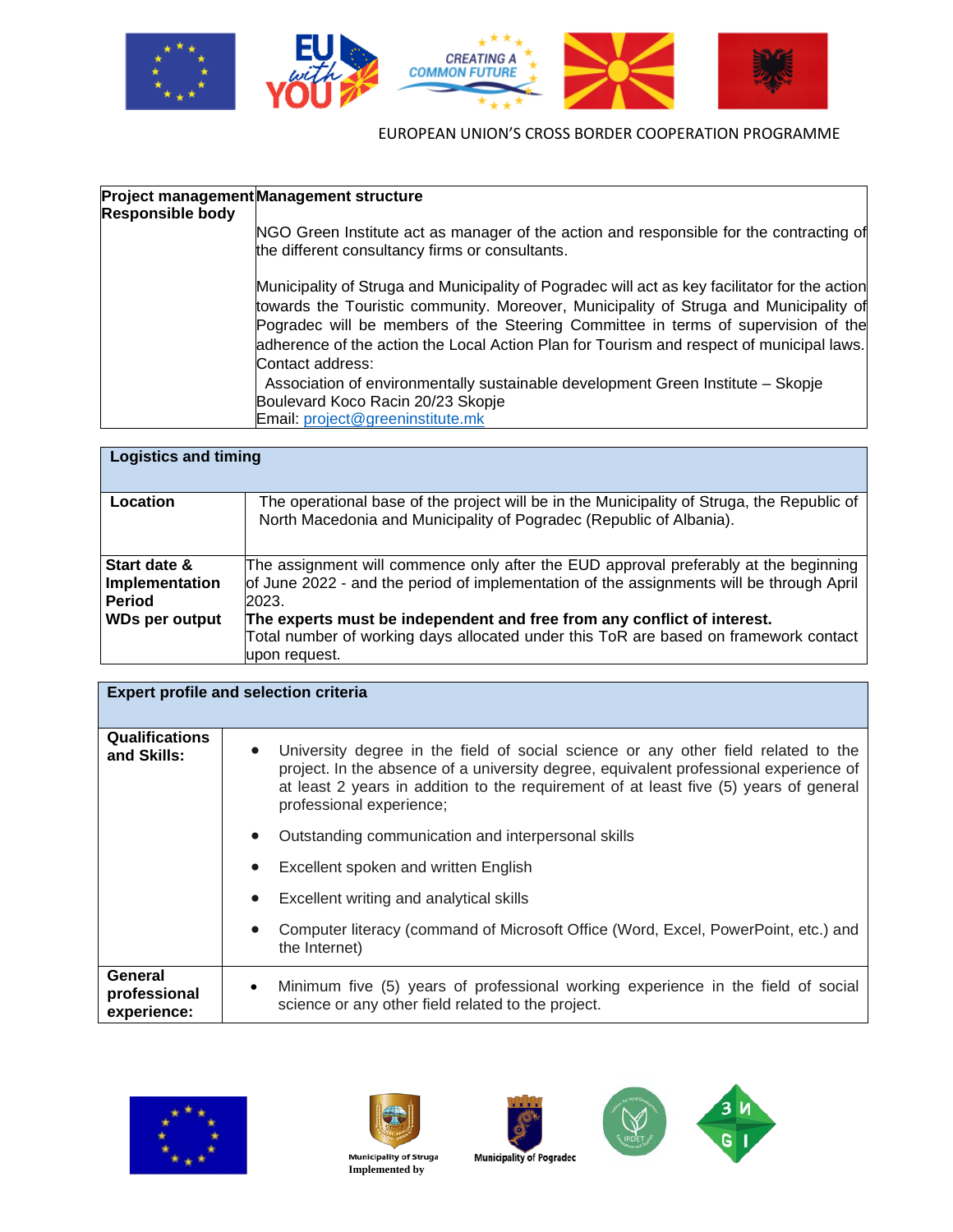

| <b>Responsible body</b> | Project management Management structure                                                                                                                                                                                                                                                                                                                                                                                                                                                                                                                  |
|-------------------------|----------------------------------------------------------------------------------------------------------------------------------------------------------------------------------------------------------------------------------------------------------------------------------------------------------------------------------------------------------------------------------------------------------------------------------------------------------------------------------------------------------------------------------------------------------|
|                         | NGO Green Institute act as manager of the action and responsible for the contracting of<br>the different consultancy firms or consultants.                                                                                                                                                                                                                                                                                                                                                                                                               |
|                         | Municipality of Struga and Municipality of Pogradec will act as key facilitator for the action<br>towards the Touristic community. Moreover, Municipality of Struga and Municipality of<br>Pogradec will be members of the Steering Committee in terms of supervision of the<br>adherence of the action the Local Action Plan for Tourism and respect of municipal laws.<br>Contact address:<br>Association of environmentally sustainable development Green Institute - Skopje<br>Boulevard Koco Racin 20/23 Skopje<br>Email: project@greeninstitute.mk |

| <b>Logistics and timing</b>                     |                                                                                                                                                                                           |  |
|-------------------------------------------------|-------------------------------------------------------------------------------------------------------------------------------------------------------------------------------------------|--|
| Location                                        | The operational base of the project will be in the Municipality of Struga, the Republic of<br>North Macedonia and Municipality of Pogradec (Republic of Albania).                         |  |
| Start date &<br>Implementation<br><b>Period</b> | The assignment will commence only after the EUD approval preferably at the beginning<br>of June 2022 - and the period of implementation of the assignments will be through April<br>2023. |  |
| <b>WDs per output</b>                           | The experts must be independent and free from any conflict of interest.<br>Total number of working days allocated under this ToR are based on framework contact<br>upon request.          |  |

| <b>Expert profile and selection criteria</b> |                                                                                                                                                                                                                                                                                                  |  |
|----------------------------------------------|--------------------------------------------------------------------------------------------------------------------------------------------------------------------------------------------------------------------------------------------------------------------------------------------------|--|
| <b>Qualifications</b><br>and Skills:         | University degree in the field of social science or any other field related to the<br>project. In the absence of a university degree, equivalent professional experience of<br>at least 2 years in addition to the requirement of at least five (5) years of general<br>professional experience; |  |
|                                              | Outstanding communication and interpersonal skills                                                                                                                                                                                                                                               |  |
|                                              | Excellent spoken and written English                                                                                                                                                                                                                                                             |  |
|                                              | Excellent writing and analytical skills                                                                                                                                                                                                                                                          |  |
|                                              | Computer literacy (command of Microsoft Office (Word, Excel, PowerPoint, etc.) and<br>the Internet)                                                                                                                                                                                              |  |
| General<br>professional<br>experience:       | Minimum five (5) years of professional working experience in the field of social<br>$\bullet$<br>science or any other field related to the project.                                                                                                                                              |  |











 **Implemented by**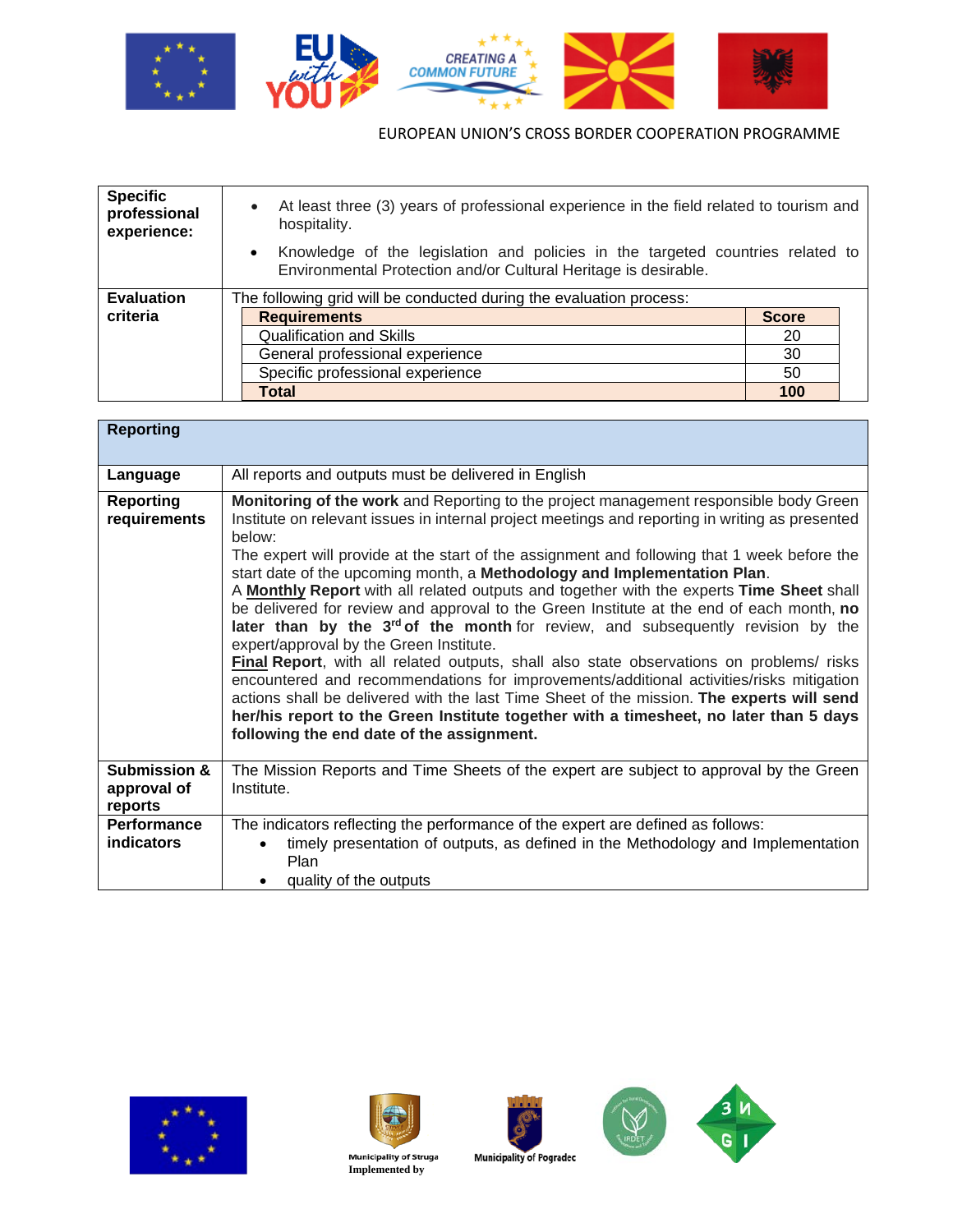

| <b>Specific</b><br>professional<br>experience: | At least three (3) years of professional experience in the field related to tourism and<br>$\bullet$<br>hospitality.                                           |              |  |
|------------------------------------------------|----------------------------------------------------------------------------------------------------------------------------------------------------------------|--------------|--|
|                                                | Knowledge of the legislation and policies in the targeted countries related to<br>$\bullet$<br>Environmental Protection and/or Cultural Heritage is desirable. |              |  |
| <b>Evaluation</b>                              | The following grid will be conducted during the evaluation process:                                                                                            |              |  |
| criteria                                       | <b>Requirements</b>                                                                                                                                            | <b>Score</b> |  |
|                                                | <b>Qualification and Skills</b>                                                                                                                                | 20           |  |
|                                                | General professional experience                                                                                                                                | 30           |  |
|                                                | Specific professional experience                                                                                                                               | 50           |  |
|                                                | Total                                                                                                                                                          | 100          |  |

| <b>Reporting</b>                                  |                                                                                                                                                                                                                                                                                                                                                                                                                                                                                                                                                                                                                                                                                                                                                                                                                                                                                                                                                                                                                                                                                                                                         |
|---------------------------------------------------|-----------------------------------------------------------------------------------------------------------------------------------------------------------------------------------------------------------------------------------------------------------------------------------------------------------------------------------------------------------------------------------------------------------------------------------------------------------------------------------------------------------------------------------------------------------------------------------------------------------------------------------------------------------------------------------------------------------------------------------------------------------------------------------------------------------------------------------------------------------------------------------------------------------------------------------------------------------------------------------------------------------------------------------------------------------------------------------------------------------------------------------------|
| Language                                          | All reports and outputs must be delivered in English                                                                                                                                                                                                                                                                                                                                                                                                                                                                                                                                                                                                                                                                                                                                                                                                                                                                                                                                                                                                                                                                                    |
| <b>Reporting</b><br>requirements                  | Monitoring of the work and Reporting to the project management responsible body Green<br>Institute on relevant issues in internal project meetings and reporting in writing as presented<br>below:<br>The expert will provide at the start of the assignment and following that 1 week before the<br>start date of the upcoming month, a Methodology and Implementation Plan.<br>A Monthly Report with all related outputs and together with the experts Time Sheet shall<br>be delivered for review and approval to the Green Institute at the end of each month, no<br>later than by the $3rd$ of the month for review, and subsequently revision by the<br>expert/approval by the Green Institute.<br><b>Final Report</b> , with all related outputs, shall also state observations on problems/ risks<br>encountered and recommendations for improvements/additional activities/risks mitigation<br>actions shall be delivered with the last Time Sheet of the mission. The experts will send<br>her/his report to the Green Institute together with a timesheet, no later than 5 days<br>following the end date of the assignment. |
| <b>Submission &amp;</b><br>approval of<br>reports | The Mission Reports and Time Sheets of the expert are subject to approval by the Green<br>Institute.                                                                                                                                                                                                                                                                                                                                                                                                                                                                                                                                                                                                                                                                                                                                                                                                                                                                                                                                                                                                                                    |
| <b>Performance</b><br><b>indicators</b>           | The indicators reflecting the performance of the expert are defined as follows:<br>timely presentation of outputs, as defined in the Methodology and Implementation<br>Plan<br>quality of the outputs                                                                                                                                                                                                                                                                                                                                                                                                                                                                                                                                                                                                                                                                                                                                                                                                                                                                                                                                   |











 **Implemented by**